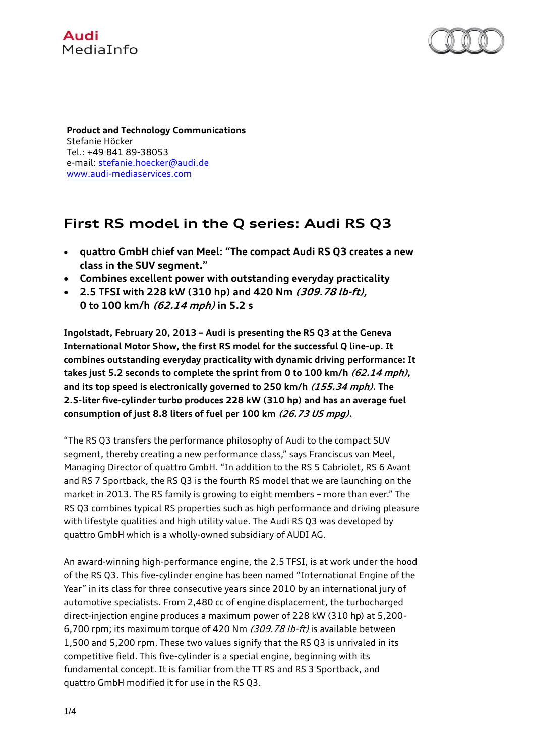



**Product and Technology Communications** Stefanie Höcker Tel.: +49 841 89-38053 e-mail[: stefanie.hoecker@audi.de](mailto:stefanie.hoecker@audi.de) [www.audi-mediaservices.com](http://www.audi-mediaservices.com/)

## **First RS model in the Q series: Audi RS Q3**

- **quattro GmbH chief van Meel: "The compact Audi RS Q3 creates a new class in the SUV segment."**
- **Combines excellent power with outstanding everyday practicality**
- **2.5 TFSI with 228 kW (310 hp) and 420 Nm (309.78 lb-ft), 0 to 100 km/h (62.14 mph) in 5.2 s**

**Ingolstadt, February 20, 2013 – Audi is presenting the RS Q3 at the Geneva International Motor Show, the first RS model for the successful Q line-up. It combines outstanding everyday practicality with dynamic driving performance: It takes just 5.2 seconds to complete the sprint from 0 to 100 km/h (62.14 mph), and its top speed is electronically governed to 250 km/h (155.34 mph). The 2.5-liter five-cylinder turbo produces 228 kW (310 hp) and has an average fuel consumption of just 8.8 liters of fuel per 100 km (26.73 US mpg).**

"The RS Q3 transfers the performance philosophy of Audi to the compact SUV segment, thereby creating a new performance class," says Franciscus van Meel, Managing Director of quattro GmbH. "In addition to the RS 5 Cabriolet, RS 6 Avant and RS 7 Sportback, the RS Q3 is the fourth RS model that we are launching on the market in 2013. The RS family is growing to eight members – more than ever." The RS Q3 combines typical RS properties such as high performance and driving pleasure with lifestyle qualities and high utility value. The Audi RS Q3 was developed by quattro GmbH which is a wholly-owned subsidiary of AUDI AG.

An award-winning high-performance engine, the 2.5 TFSI, is at work under the hood of the RS Q3. This five-cylinder engine has been named "International Engine of the Year" in its class for three consecutive years since 2010 by an international jury of automotive specialists. From 2,480 cc of engine displacement, the turbocharged direct-injection engine produces a maximum power of 228 kW (310 hp) at 5,200- 6,700 rpm; its maximum torque of 420 Nm (309.78 lb-ft) is available between 1,500 and 5,200 rpm. These two values signify that the RS Q3 is unrivaled in its competitive field. This five-cylinder is a special engine, beginning with its fundamental concept. It is familiar from the TT RS and RS 3 Sportback, and quattro GmbH modified it for use in the RS Q3.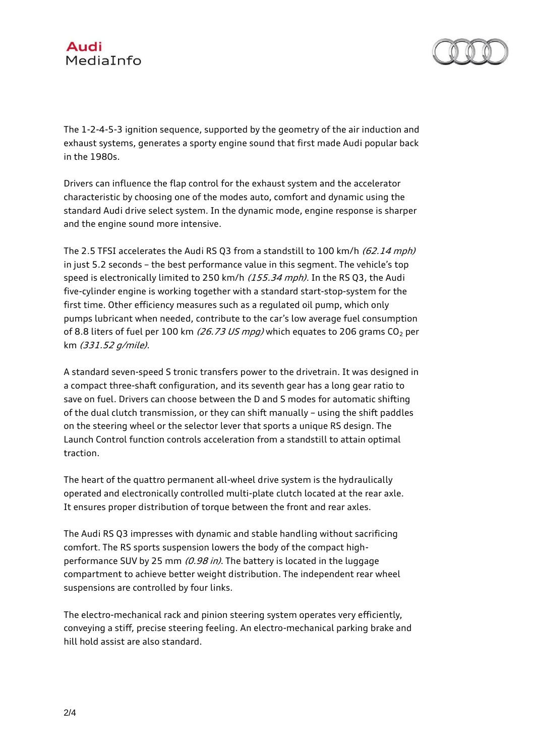



The 1-2-4-5-3 ignition sequence, supported by the geometry of the air induction and exhaust systems, generates a sporty engine sound that first made Audi popular back in the 1980s.

Drivers can influence the flap control for the exhaust system and the accelerator characteristic by choosing one of the modes auto, comfort and dynamic using the standard Audi drive select system. In the dynamic mode, engine response is sharper and the engine sound more intensive.

The 2.5 TFSI accelerates the Audi RS Q3 from a standstill to 100 km/h (62.14 mph) in just 5.2 seconds – the best performance value in this segment. The vehicle's top speed is electronically limited to 250 km/h (155.34 mph). In the RS Q3, the Audi five-cylinder engine is working together with a standard start-stop-system for the first time. Other efficiency measures such as a regulated oil pump, which only pumps lubricant when needed, contribute to the car's low average fuel consumption of 8.8 liters of fuel per 100 km (26.73 US mpg) which equates to 206 grams  $CO<sub>2</sub>$  per km (331.52 g/mile).

A standard seven-speed S tronic transfers power to the drivetrain. It was designed in a compact three-shaft configuration, and its seventh gear has a long gear ratio to save on fuel. Drivers can choose between the D and S modes for automatic shifting of the dual clutch transmission, or they can shift manually – using the shift paddles on the steering wheel or the selector lever that sports a unique RS design. The Launch Control function controls acceleration from a standstill to attain optimal traction.

The heart of the quattro permanent all-wheel drive system is the hydraulically operated and electronically controlled multi-plate clutch located at the rear axle. It ensures proper distribution of torque between the front and rear axles.

The Audi RS Q3 impresses with dynamic and stable handling without sacrificing comfort. The RS sports suspension lowers the body of the compact highperformance SUV by 25 mm  $(0.98 \text{ in})$ . The battery is located in the luggage compartment to achieve better weight distribution. The independent rear wheel suspensions are controlled by four links.

The electro-mechanical rack and pinion steering system operates very efficiently, conveying a stiff, precise steering feeling. An electro-mechanical parking brake and hill hold assist are also standard.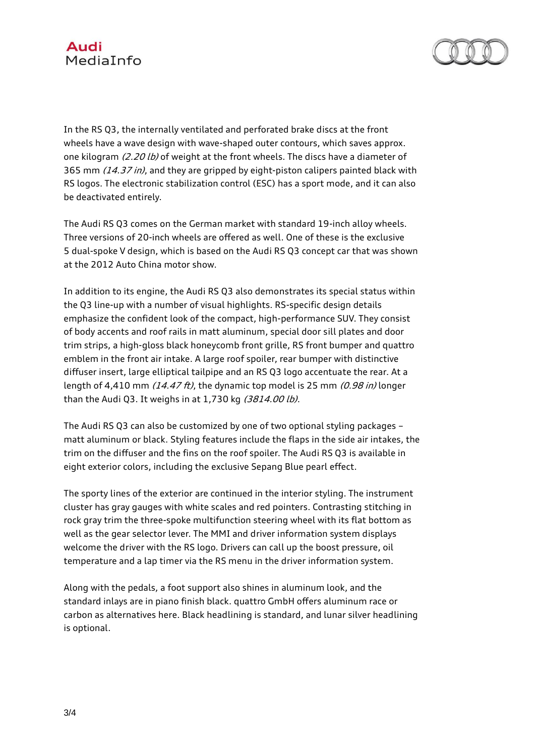



In the RS Q3, the internally ventilated and perforated brake discs at the front wheels have a wave design with wave-shaped outer contours, which saves approx. one kilogram (2.20 lb) of weight at the front wheels. The discs have a diameter of 365 mm (14.37 in), and they are gripped by eight-piston calipers painted black with RS logos. The electronic stabilization control (ESC) has a sport mode, and it can also be deactivated entirely.

The Audi RS Q3 comes on the German market with standard 19-inch alloy wheels. Three versions of 20-inch wheels are offered as well. One of these is the exclusive 5 dual-spoke V design, which is based on the Audi RS Q3 concept car that was shown at the 2012 Auto China motor show.

In addition to its engine, the Audi RS Q3 also demonstrates its special status within the Q3 line-up with a number of visual highlights. RS-specific design details emphasize the confident look of the compact, high-performance SUV. They consist of body accents and roof rails in matt aluminum, special door sill plates and door trim strips, a high-gloss black honeycomb front grille, RS front bumper and quattro emblem in the front air intake. A large roof spoiler, rear bumper with distinctive diffuser insert, large elliptical tailpipe and an RS Q3 logo accentuate the rear. At a length of 4,410 mm  $(14.47 \text{ ft})$ , the dynamic top model is 25 mm  $(0.98 \text{ in})$  longer than the Audi Q3. It weighs in at 1,730 kg (3814.00 lb).

The Audi RS Q3 can also be customized by one of two optional styling packages – matt aluminum or black. Styling features include the flaps in the side air intakes, the trim on the diffuser and the fins on the roof spoiler. The Audi RS Q3 is available in eight exterior colors, including the exclusive Sepang Blue pearl effect.

The sporty lines of the exterior are continued in the interior styling. The instrument cluster has gray gauges with white scales and red pointers. Contrasting stitching in rock gray trim the three-spoke multifunction steering wheel with its flat bottom as well as the gear selector lever. The MMI and driver information system displays welcome the driver with the RS logo. Drivers can call up the boost pressure, oil temperature and a lap timer via the RS menu in the driver information system.

Along with the pedals, a foot support also shines in aluminum look, and the standard inlays are in piano finish black. quattro GmbH offers aluminum race or carbon as alternatives here. Black headlining is standard, and lunar silver headlining is optional.